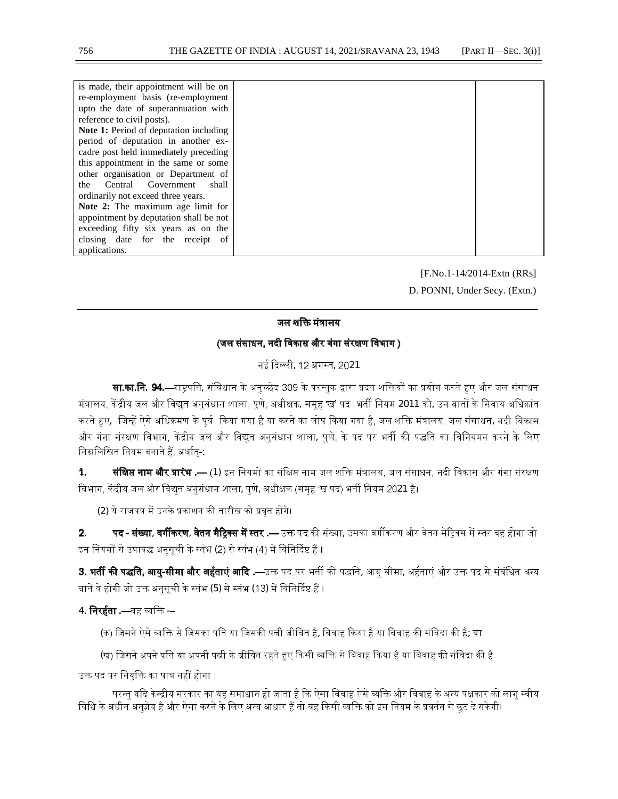| is made, their appointment will be on         |  |
|-----------------------------------------------|--|
| re-employment basis (re-employment            |  |
| upto the date of superannuation with          |  |
| reference to civil posts).                    |  |
| <b>Note 1:</b> Period of deputation including |  |
| period of deputation in another ex-           |  |
| cadre post held immediately preceding         |  |
| this appointment in the same or some          |  |
| other organisation or Department of           |  |
| Central Government<br>shall<br>the            |  |
| ordinarily not exceed three years.            |  |
| Note 2: The maximum age limit for             |  |
| appointment by deputation shall be not        |  |
| exceeding fifty six years as on the           |  |
| closing date for the receipt of               |  |
| applications.                                 |  |

 [F.No.1-14/2014-Extn (RRs] D. PONNI, Under Secy. (Extn.)

#### जल शक्ति मंत्रालय

### (जल संसाधन, नदी विकास और गंगा संरक्षण विभाग )

नई दिल्ली, 12 अगस्त, 2021

**सा.का.नि. 94.—**राष्ट्रपति, संविधान के अनुच्छेद 309 के परन्तुक द्वारा प्रदत शक्तियों का प्रयोग करते हुए और जल संसाधन मंत्रालय, केंद्रीय जल और विद्युत अनुसंधान शाला, पुणे, अधीक्षक, समूह 'ख' पद भर्ती नियम 2011 को, उन बातों के सिवाय अधिक्रांत करते हुए, जिन्हें ऐसे अधिक्रमण के पूर्व किया गया है या करने का लोप किया गया है, जल शक्ति मंत्रालय, जल संसाधन, नदी विकास और गंगा संरक्षण विभाग, केंद्रीय जल और विद्युत अनुसंधान शाला, पुणे, के पद पर भर्ती की पद्धति का विनियमन करने के लिए निम्नलिखित नियम बनाते हैं, अर्थात-:

1. बं**क्षिप्त नाम और प्रारंभ .—** (1) इन नियमों का संक्षिप्त नाम जल शक्ति मंत्रालय, जल संसाधन, नदी विकास और गंगा संरक्षण विभाग, केंद्रीय जल और विद्युत अनुसंधान शाला, पुणे, अधीक्षक (समूह 'ख पद) भर्ती नियम 2021 है।

(2) ये राजपत्र में उनके प्रकाशन की तारीख को प्रवृत होंगे।

2. पद - संख्या, वर्गीकरण, वेतन मैट्रिक्स में स्तर .— उक्त पद की संख्या, उसका वर्गीकरण और वेतन मेट्रिक्स में स्तर वह होगा जो इन नियमों से उपाबद्ध अनुसूची के स्तंभ (2) से स्तंभ (4) में विनिर्दिष्ट हैं ।

3. **भर्ती की पद्धति, आयु-सीमा और अर्हताएं आदि .—**उक्त पद पर भर्ती की पद्धति, आयु सीमा, अर्हताएं और उक्त पद से संबंधित अन्य बातें वे होंगी जो उक्त अनुसूची के स्तंभ (5) से स्तंभ (13) में विनिर्दिष्ट हैं ।

## 4. **निरर्हता .—**वह व्यक्ति -–

(क) जिसने ऐसे व्यक्ति से जिसका पति या जिसकी पत्नी जीवित है, विवाह किया है या विवाह की संविदा की है; या

(ख) जिसने अपने पति या अपनी पत्नी के जीवित रहते हुए किसी व्यक्ति से विवाह किया है या विवाह की संविदा की है

उक्त पद पर नियुक्ति का पात्र नहीं होगा :

परन्तु यदि केन्द्रीय सरकार का यह समाधान हो जाता है कि ऐसा विवाह ऐसे व्यक्ति और विवाह के अन्य पक्षकार को लागू स्वीय विधि के अधीन अनुज्ञेय है और ऐसा करने के लिए अन्य आधार हैं तो वह किसी व्यक्ति को इस नियम के प्रवर्तन से छूट दे सकेगी।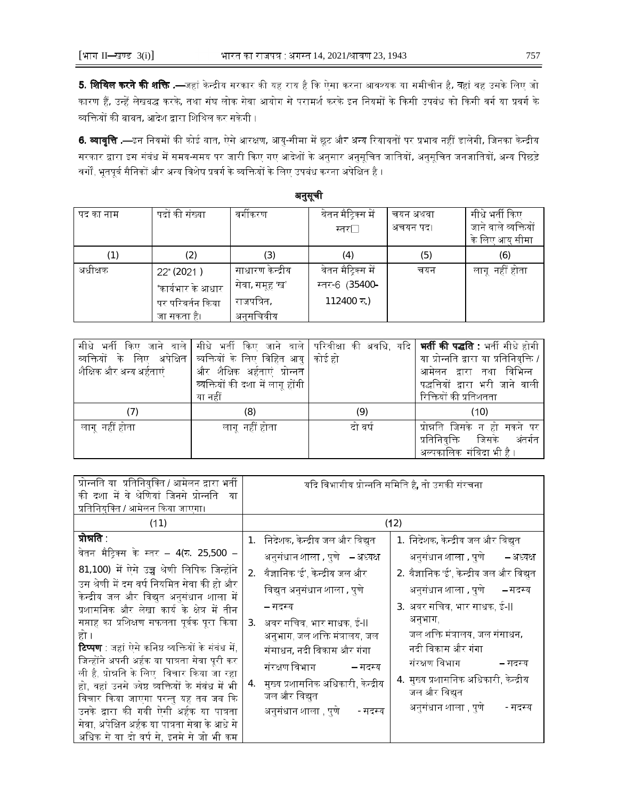5. शिथिल करने की शक्ति .—जहां केन्द्रीय सरकार की यह राय है कि ऐसा करना आवश्यक या समीचीन है, वहां वह उसके लिए जो कारण हैं, उन्हें लेखबद्ध करके, तथा संघ लोक सेवा आयोग से परामर्श करके इन नियमों के किसी उपबंध को किसी वर्ग या प्रवर्ग के व्यक्तियों की बाबत, आदेश द्वारा शिथिल कर सकेगी ।

6. व्यावृत्ति .—इन नियमों की कोई बात, ऐसे आरक्षण, आयु-सीमा में छूट और अन्य रियायतों पर प्रभाव नहीं डालेगी, जिनका केन्द्रीय सरकार द्वारा इस संबंध में समय-समय पर जारी किए गए आदेशों के अनुसार अनुसूचित जातियों, अनुसूचित जनजातियों, अन्य पिछड़े वर्गों, भूतपूर्व सैनिकों और अन्य विशेष प्रवर्ग के व्यक्तियों के लिए उपबंध करना अपेक्षित है ।

| पद का नाम | पदों की संख्या    | वर्गीकरण         | वेतन मैट्रिक्स में | चयन अथवा | सीधे भर्ती किए       |
|-----------|-------------------|------------------|--------------------|----------|----------------------|
|           |                   |                  | स्तर⊟              | अचयन पद। | जाने वाले व्यक्तियों |
|           |                   |                  |                    |          | के लिए आयु सीमा      |
| (1)       | (2)               | (3)              | (4)                | (5)      | (6)                  |
| अधीक्षक   | 22 (2021)         | साधारण केन्द्रीय | वेतन मैट्रिक्स में | चयन      | लागूनहीं होता        |
|           | *कार्यभार के आधार | सेवा, समूह 'ख'   | स्तर-6 (35400-     |          |                      |
|           | पर परिवर्तन किया  | राजपत्रित,       | 112400 रु.)        |          |                      |
|           | जा सकता है।       | अनुसचिवीय        |                    |          |                      |

| सीधे भर्ती<br>ाकिए '<br>जाने वाले |                                      |         | सीधे भर्ती किए जाने वाले परिवीक्षा की अवधि, यदि <b>  भर्ती की पद्धति :</b> भर्ती सीधे होगी |
|-----------------------------------|--------------------------------------|---------|--------------------------------------------------------------------------------------------|
| व्यक्तियों के लिए अपेक्षित        | व्यक्तियों के लिए विहित आयु   कोई हो |         | या प्रोन्नति द्वारा या प्रतिनियुक्ति /                                                     |
| शैक्षिक और अन्य अर्हताएं          | और शैक्षिक अर्हताएं प्रोन्नत         |         | आमेलन द्वारा तथा विभिन्न                                                                   |
|                                   | व्यक्तियों की दशा में लागू होंगी     |         | पद्धत्तियों द्वारा भरी जाने वाली                                                           |
|                                   | या नहीं                              |         | रिक्तियों की प्रतिशतता                                                                     |
| 7)                                | (8)                                  | (9)     | (10)                                                                                       |
| लागू नहीं होता                    | लागूनहीं होता                        | दो वर्ष | प्रोन्नति जिसके न हो सकने पर                                                               |
|                                   |                                      |         | प्रतिनियुक्ति<br>अंतर्गत<br>जिसके                                                          |
|                                   |                                      |         | अल्पकालिक संविदा भी है ।                                                                   |

| प्रोन्नति या  प्रतिनियुक्ति / आमेलन द्वारा भर्ती                                           |                                                                      | यदि विभागीय प्रोन्नति समिति है, तो उसकी संरचना                               |
|--------------------------------------------------------------------------------------------|----------------------------------------------------------------------|------------------------------------------------------------------------------|
| की दशा में वे श्रेणियां जिनसे प्रोन्नति<br>या<br>प्रतिनियुक्ति / आमेलन किया जाएगा।         |                                                                      |                                                                              |
| (11)                                                                                       |                                                                      | (12)                                                                         |
| प्रोन्नति .                                                                                | निदेशक, केन्द्रीय जल और विद्युत<br>1 <sub>1</sub>                    | 1. निदेशक, केन्द्रीय जल और विद्युत                                           |
| वेतन मैट्रिक्स के स्तर – 4(रु. 25,500 –<br>81,100) में ऐसे उच्च श्रेणी लिपिक जिन्होंने     | अनुसंधान शाला , पुणे   – अध्यक्ष                                     | अनुसंधान शाला , पुणे       – अध्यक्ष                                         |
| उस श्रेणी में दस वर्ष नियमित सेवा की हो और                                                 | वैज्ञानिक 'ई', केन्द्रीय जल और<br>2.<br>विद्युत अनुसंधान शाला , पुणे | 2. वैज्ञानिक 'ई', केन्द्रीय जल और विद्युत<br>अनुसंधान शाला , पुणे<br>– सदस्य |
| केन्द्रीय जल और विद्युत अनुसंधान शाला में<br>प्रशासनिक और लेखा कार्य के क्षेत्र में तीन    | – सदस्य                                                              | 3. अवर सचिव, भार साधक, ई-II                                                  |
| सप्ताह का प्रशिक्षण सफलता पूर्वक पूरा किया<br>हो ।                                         | अवर सचिव, भार साधक, ई-II<br>3.<br>अनुभाग, जल शक्ति मंत्रालय, जल      | अनुभाग,<br>जल शक्ति मंत्रालय, जल संसाधन,                                     |
| <b>टिप्पण</b> : जहां ऐसे कनिष्ठ व्यक्तियों के संबंध में,                                   | संसाधन, नदी विकास और गंगा                                            | नदी विकास और गंगा                                                            |
| जिन्होंने अपनी अर्हक या पात्रता सेवा पूरी कर<br>ली है, प्रोन्नति के लिए  विचार किया जा रहा | संरक्षण विभाग<br>– सदस्य                                             | संरक्षण विभाग<br>– सदस्य<br>4.  मुख्य प्रशासनिक अधिकारी, केन्द्रीय           |
| हो, वहां उनसे ज्येष्ठ व्यक्तियों के संबंध में भी<br>विचार किया जाएगा परन्तु यह तब जब कि    | मुख्य प्रशासनिक अधिकारी, केन्द्रीय<br>4.<br>जल और विद्युत            | जल और विद्युत                                                                |
| उनके द्वारा की गयी ऐसी अर्हक या पात्रता                                                    | अनुसंधान शाला , पुणे         सदस्य                                   | अनुसंधान शाला , पुणे<br>- सदस्य                                              |
| सेवा, अपेक्षित अर्हक या पात्रता सेवा के आधे से<br>अधिक से या दो वर्ष से, इनमे से जो भी कम  |                                                                      |                                                                              |

अनुसूची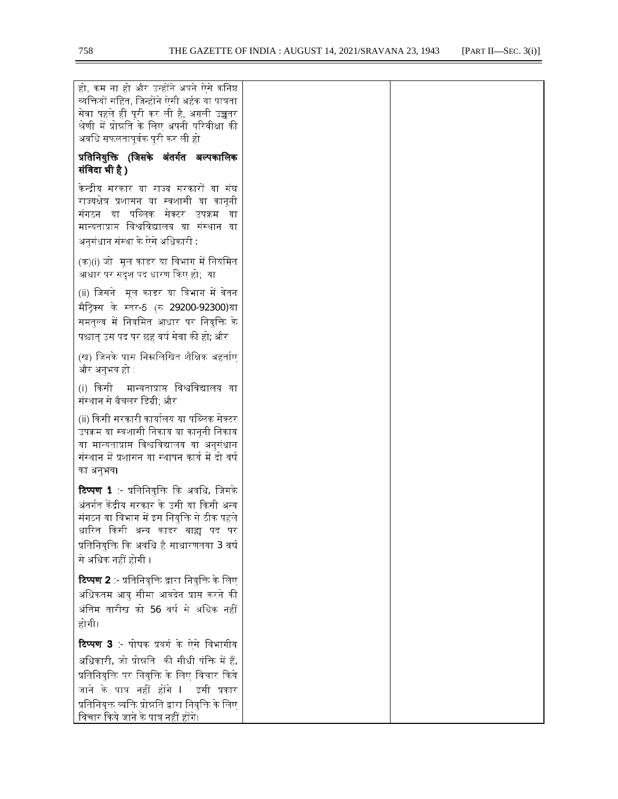$=$ 

| हो, कम ना हो और उन्होंने अपने ऐसे कनिष्ठ<br>व्यक्तियों सहित, जिन्होंने ऐसी अर्हक या पात्रता<br>सेवा पहले ही पूरी कर ली है, अगली उच्चतर<br>श्रेणी में प्रोन्नति के लिए अपनी परिवीक्षा की<br>अवधि सफलतापूर्वक पूरी कर ली हो                                                                 |  |
|-------------------------------------------------------------------------------------------------------------------------------------------------------------------------------------------------------------------------------------------------------------------------------------------|--|
| प्रतिनियुक्ति (जिसके अंतर्गत अल्पकालिक<br>संविदा भी है )                                                                                                                                                                                                                                  |  |
| केन्द्रीय सरकार या राज्य सरकारों या संघ<br>राज्यक्षेत्र प्रशासन या स्वशासी या कानूनी<br>संगठन या पब्लिक सेक्टर उपक्रम<br>या<br>मान्यताप्राप्त विश्वविद्यालय या संस्थान या<br>अनुसंधान संस्था के ऐसे अधिकारी :                                                                             |  |
| (क)(i) जो  मूल काडर या विभाग में नियमित<br>आधार पर सदृश पद धारण किए हो;  या                                                                                                                                                                                                               |  |
| (ii) जिसने मूल काडर या विभाग में वेतन<br>मैट्रिक्स के स्तर-5 (रु 29200-92300)या<br>समतुल्य में नियमित आधार पर नियुक्त <mark>ि</mark> के<br>पश्चात् उस पद पर छह वर्ष सेवा की हो; और                                                                                                        |  |
| (ख) जिनके पास निम्नलिखित शैक्षिक अहर्ताए<br>और अनुभव हो :                                                                                                                                                                                                                                 |  |
| मान्यताप्राप्त विश्वविद्यालय या<br>(i) किसी<br>संस्थान से बैचलर डिग्री; और                                                                                                                                                                                                                |  |
| (ii) किसी सरकारी कार्यालय या पब्लिक सेक्टर<br>उपक्रम या स्वशासी निकाय या कानूनी निकाय<br>या मान्यताप्राप्त विश्वविद्यालय या अनुसंधान<br>संस्थान में प्रशासन या स्थापन कार्य में दो वर्ष<br>का अनुभव।                                                                                      |  |
| <b>टिप्पण 1</b> :- प्रतिनियुक्ति कि अवधि, जिसके<br>अंतर्गत केंद्रीय सरकार के उसी या किसी अन्य<br>संगठन या विभाग में इस नियुक्ति से ठीक पहले<br>धारित किसी अन्य काडर बाह्य पद पर<br>प्रतिनियुक्ति कि अवधि है साधारणतया 3 वर्ष<br>से अधिक नहीं होगी ।                                       |  |
| <b>टिप्पण 2</b> :- प्रतिनियुक्ति द्वारा नियुक्ति के लिए<br>अधिकतम आयु सीमा आवदेन प्राप्त करने की<br>अंतिम तारीख को 56 वर्ष से अधिक नहीं<br>होगी।                                                                                                                                          |  |
| <b>टिप्पण 3</b> - पोषक प्रवर्ग के ऐसे विभागीय<br>अधिकारी, जो प्रोन्नति  की सीधी पंक्ति में हैं,<br>प्रतिनियुक्ति पर नियुक्ति के लिए विचार किये<br>जाने के पात्र नहीं होंगे ।  इसी प्रकार<br>प्रतिनियुक्त व्यक्ति प्रोन्नति द्वारा नियुक्ति के लिए<br>विचार किये जाने के पात्र नहीं होंगे। |  |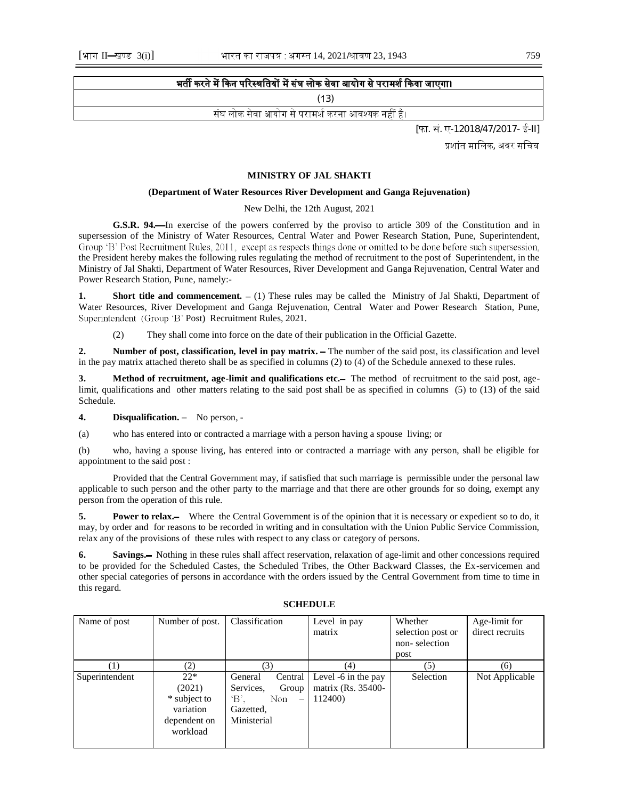## भर्ती करने में किन परिस्थतियों में संघ लोक सेवा आयोग से परामर्श किया जाएगा।

 $(13)$ 

संघ लोक सेवा आयोग से परामर्श करना आवश्यक नहीं है।

[फा. सं. ए-12018/47/2017- ई-II]

प्रशांत मालिक, अवर सचिव

#### **MINISTRY OF JAL SHAKTI**

#### **(Department of Water Resources River Development and Ganga Rejuvenation)**

#### New Delhi, the 12th August, 2021

**G.S.R. 94.** In exercise of the powers conferred by the proviso to article 309 of the Constitution and in supersession of the Ministry of Water Resources, Central Water and Power Research Station, Pune, Superintendent, Group 'B' Post Recruitment Rules, 2011, except as respects things done or omitted to be done before such supersession, the President hereby makes the following rules regulating the method of recruitment to the post of Superintendent, in the Ministry of Jal Shakti, Department of Water Resources, River Development and Ganga Rejuvenation, Central Water and Power Research Station, Pune, namely:-

**Short title and commencement.**  $- (1)$  These rules may be called the Ministry of Jal Shakti, Department of Water Resources, River Development and Ganga Rejuvenation, Central Water and Power Research Station, Pune, Superintendent (Group 'B' Post) Recruitment Rules, 2021.

(2) They shall come into force on the date of their publication in the Official Gazette.

**2.** Number of post, classification, level in pay matrix. – The number of the said post, its classification and level in the pay matrix attached thereto shall be as specified in columns (2) to (4) of the Schedule annexed to these rules.

**3. Method of recruitment, age-limit and qualifications etc.** The method of recruitment to the said post, agelimit, qualifications and other matters relating to the said post shall be as specified in columns (5) to (13) of the said Schedule.

**4. Disqualification.** - No person, -

(a) who has entered into or contracted a marriage with a person having a spouse living; or

(b) who, having a spouse living, has entered into or contracted a marriage with any person, shall be eligible for appointment to the said post :

 Provided that the Central Government may, if satisfied that such marriage is permissible under the personal law applicable to such person and the other party to the marriage and that there are other grounds for so doing, exempt any person from the operation of this rule.

**5. Power to relax.** Where the Central Government is of the opinion that it is necessary or expedient so to do, it may, by order and for reasons to be recorded in writing and in consultation with the Union Public Service Commission, relax any of the provisions of these rules with respect to any class or category of persons.

**6. Savings.** Nothing in these rules shall affect reservation, relaxation of age-limit and other concessions required to be provided for the Scheduled Castes, the Scheduled Tribes, the Other Backward Classes, the Ex-servicemen and other special categories of persons in accordance with the orders issued by the Central Government from time to time in this regard.

| Name of post     | Classification<br>Number of post. |                                            | Level in pay        | Whether           | Age-limit for   |
|------------------|-----------------------------------|--------------------------------------------|---------------------|-------------------|-----------------|
|                  |                                   |                                            | matrix              | selection post or | direct recruits |
|                  |                                   |                                            |                     | non-selection     |                 |
|                  |                                   |                                            |                     | post              |                 |
| $\left(1\right)$ | (2)                               | (3)                                        | (4)                 | (5)               | (6)             |
| Superintendent   | $22*$                             | Central<br>General                         | Level -6 in the pay | Selection         | Not Applicable  |
|                  | (2021)                            | Services,<br>Group                         | matrix (Rs. 35400-  |                   |                 |
|                  | * subject to                      | $\mathbf{B}$ .<br>Non<br>$\longrightarrow$ | 112400)             |                   |                 |
|                  | variation                         | Gazetted,                                  |                     |                   |                 |
|                  | dependent on                      | Ministerial                                |                     |                   |                 |
|                  | workload                          |                                            |                     |                   |                 |
|                  |                                   |                                            |                     |                   |                 |

#### **SCHEDULE**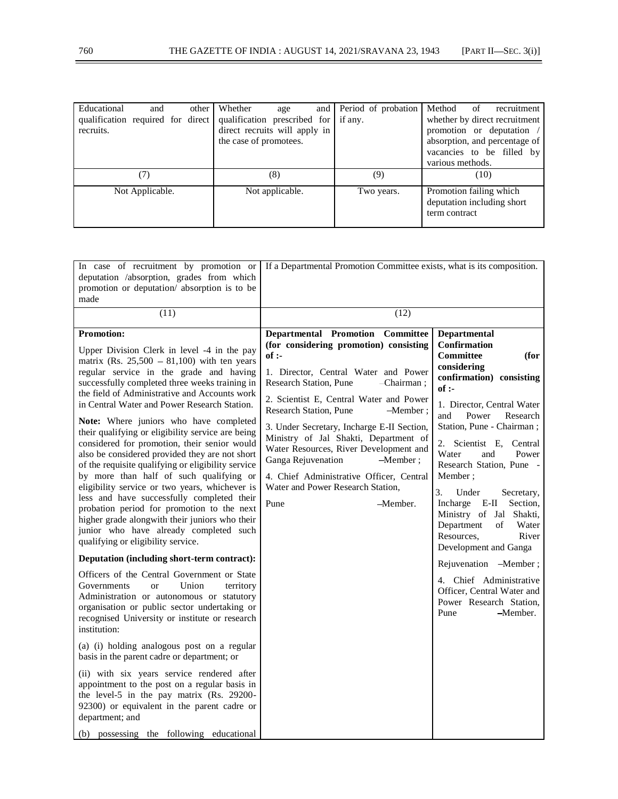| Educational                       | and             | other | Whether                              | age             |  | and Period of probation | Method                     |      | of recruitment                |
|-----------------------------------|-----------------|-------|--------------------------------------|-----------------|--|-------------------------|----------------------------|------|-------------------------------|
| qualification required for direct |                 |       | qualification prescribed for if any. |                 |  |                         |                            |      | whether by direct recruitment |
| recruits.                         |                 |       | direct recruits will apply in        |                 |  |                         |                            |      | promotion or deputation /     |
|                                   |                 |       | the case of promotees.               |                 |  |                         |                            |      | absorption, and percentage of |
|                                   |                 |       |                                      |                 |  |                         |                            |      | vacancies to be filled by     |
|                                   |                 |       |                                      |                 |  |                         | various methods.           |      |                               |
|                                   |                 |       |                                      | (8)             |  | (9)                     |                            | (10) |                               |
|                                   | Not Applicable. |       |                                      | Not applicable. |  | Two years.              | Promotion failing which    |      |                               |
|                                   |                 |       |                                      |                 |  |                         | deputation including short |      |                               |
|                                   |                 |       |                                      |                 |  |                         | term contract              |      |                               |
|                                   |                 |       |                                      |                 |  |                         |                            |      |                               |

| In case of recruitment by promotion or<br>deputation /absorption, grades from which<br>promotion or deputation/ absorption is to be<br>made                                                                                                                                                                                                                                                                                                                                                                                                                                                                                                                                                                                                                                                                                                                                                                                                                                                                                                                                                                                                                                                                                                                                                                                                                                                                                                                                                                                       | If a Departmental Promotion Committee exists, what is its composition.                                                                                                                                                                                                                                                                                                                                                                                                                                                         |                                                                                                                                                                                                                                                                                                                                                                                                                                                                                                                                                                                                            |
|-----------------------------------------------------------------------------------------------------------------------------------------------------------------------------------------------------------------------------------------------------------------------------------------------------------------------------------------------------------------------------------------------------------------------------------------------------------------------------------------------------------------------------------------------------------------------------------------------------------------------------------------------------------------------------------------------------------------------------------------------------------------------------------------------------------------------------------------------------------------------------------------------------------------------------------------------------------------------------------------------------------------------------------------------------------------------------------------------------------------------------------------------------------------------------------------------------------------------------------------------------------------------------------------------------------------------------------------------------------------------------------------------------------------------------------------------------------------------------------------------------------------------------------|--------------------------------------------------------------------------------------------------------------------------------------------------------------------------------------------------------------------------------------------------------------------------------------------------------------------------------------------------------------------------------------------------------------------------------------------------------------------------------------------------------------------------------|------------------------------------------------------------------------------------------------------------------------------------------------------------------------------------------------------------------------------------------------------------------------------------------------------------------------------------------------------------------------------------------------------------------------------------------------------------------------------------------------------------------------------------------------------------------------------------------------------------|
| (11)                                                                                                                                                                                                                                                                                                                                                                                                                                                                                                                                                                                                                                                                                                                                                                                                                                                                                                                                                                                                                                                                                                                                                                                                                                                                                                                                                                                                                                                                                                                              | (12)                                                                                                                                                                                                                                                                                                                                                                                                                                                                                                                           |                                                                                                                                                                                                                                                                                                                                                                                                                                                                                                                                                                                                            |
| <b>Promotion:</b><br>Upper Division Clerk in level -4 in the pay<br>matrix (Rs. $25,500 - 81,100$ ) with ten years<br>regular service in the grade and having<br>successfully completed three weeks training in<br>the field of Administrative and Accounts work<br>in Central Water and Power Research Station.<br>Note: Where juniors who have completed<br>their qualifying or eligibility service are being<br>considered for promotion, their senior would<br>also be considered provided they are not short<br>of the requisite qualifying or eligibility service<br>by more than half of such qualifying or<br>eligibility service or two years, whichever is<br>less and have successfully completed their<br>probation period for promotion to the next<br>higher grade alongwith their juniors who their<br>junior who have already completed such<br>qualifying or eligibility service.<br>Deputation (including short-term contract):<br>Officers of the Central Government or State<br>Union<br>Governments<br>territory<br><sub>or</sub><br>Administration or autonomous or statutory<br>organisation or public sector undertaking or<br>recognised University or institute or research<br>institution:<br>(a) (i) holding analogous post on a regular<br>basis in the parent cadre or department; or<br>(ii) with six years service rendered after<br>appointment to the post on a regular basis in<br>the level-5 in the pay matrix (Rs. 29200-<br>92300) or equivalent in the parent cadre or<br>department; and | Departmental Promotion Committee<br>(for considering promotion) consisting<br>of:<br>1. Director, Central Water and Power<br>Research Station, Pune<br>-Chairman;<br>2. Scientist E, Central Water and Power<br>Research Station, Pune<br>$-Member:$<br>3. Under Secretary, Incharge E-II Section,<br>Ministry of Jal Shakti, Department of<br>Water Resources, River Development and<br>Ganga Rejuvenation<br>$-Member:$<br>4. Chief Administrative Officer, Central<br>Water and Power Research Station,<br>-Member.<br>Pune | Departmental<br><b>Confirmation</b><br><b>Committee</b><br>(for<br>considering<br>confirmation) consisting<br>$of$ :-<br>1. Director, Central Water<br>and<br>Power<br>Research<br>Station, Pune - Chairman;<br>2. Scientist E, Central<br>Water<br>and<br>Power<br>Research Station, Pune -<br>Member;<br>3.<br>Under<br>Secretary,<br>Incharge E-II<br>Section,<br>Ministry of Jal Shakti,<br>Department<br>οf<br>Water<br>Resources,<br>River<br>Development and Ganga<br>Rejuvenation -Member;<br>4. Chief Administrative<br>Officer, Central Water and<br>Power Research Station,<br>Pune<br>-Member. |
| (b) possessing the following educational                                                                                                                                                                                                                                                                                                                                                                                                                                                                                                                                                                                                                                                                                                                                                                                                                                                                                                                                                                                                                                                                                                                                                                                                                                                                                                                                                                                                                                                                                          |                                                                                                                                                                                                                                                                                                                                                                                                                                                                                                                                |                                                                                                                                                                                                                                                                                                                                                                                                                                                                                                                                                                                                            |